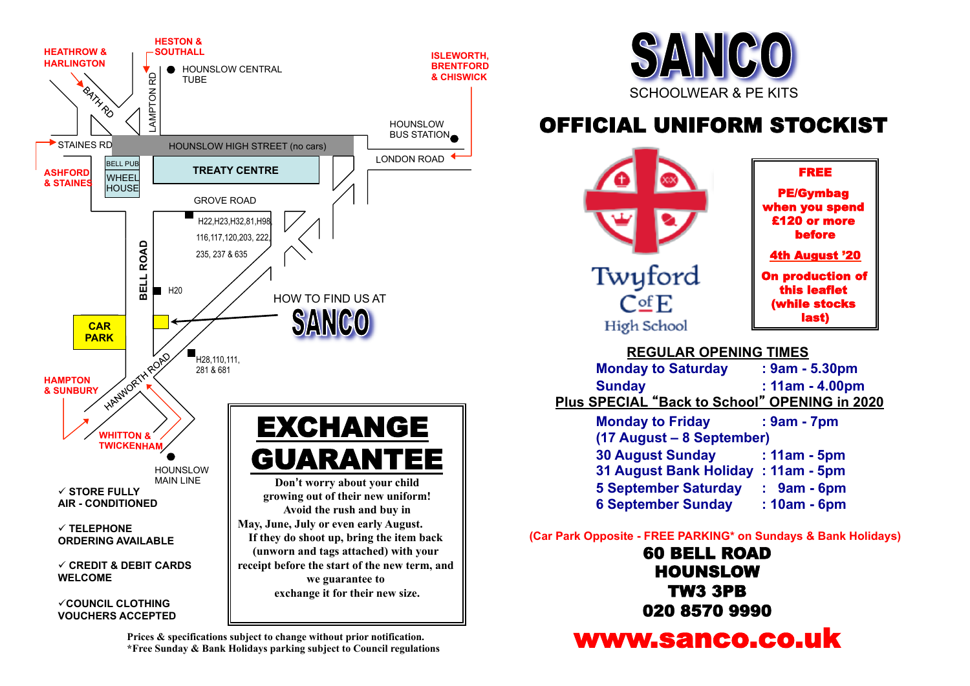

**Prices & specifications subject to change without prior notification. \*Free Sunday & Bank Holidays parking subject to Council regulations**



## OFFICIAL UNIFORM STOCKIST



PE/Gymbag when you spend £120 or more before 4th August '20 On production of this leaflet (while stocks

last)

FREE

 **REGULAR OPENING TIMES Monday to Saturday : 9am - 5.30pm Sunday : 11am - 4.00pm Plus SPECIAL** "**Back to School**" **OPENING in 2020 Monday to Friday : 9am - 7pm (17 August – 8 September) 30 August Sunday : 11am - 5pm 31 August Bank Holiday : 11am - 5pm 5 September Saturday : 9am - 6pm 6 September Sunday : 10am - 6pm** 

 **(Car Park Opposite - FREE PARKING\* on Sundays & Bank Holidays)**

60 BELL ROAD HOUNSLOW TW3 3PB 020 8570 9990

www.sanco.co.uk